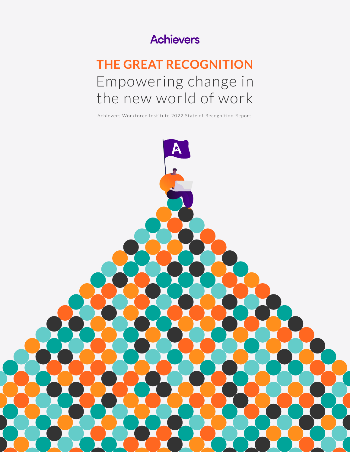## **Achievers**

## **THE GREAT RECOGNITION** Empowering change in the new world of work

Achievers Workforce Institute 2022 State of Recognition Report

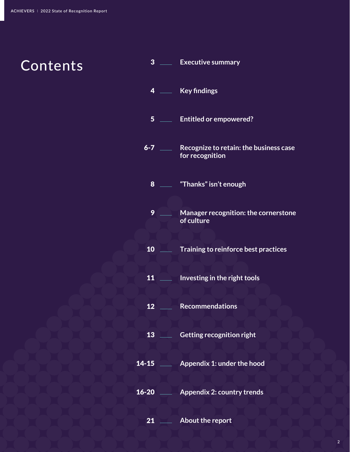**Contents** 

# **Key findings Entitled or empowered? Recognize to retain: the business case**  6-7 **for recognition "Thanks" isn't enough Manager recognition: the cornerstone of culture Training to reinforce best practices** <u>Allecouse Investing in the right tools</u> **Lacker Recommendations Letting recognition right Appendix 1: under the hood** 14-15 **Appendix 2: country trends** 16-20 **About the report** \_\_\_\_\_ Executive summary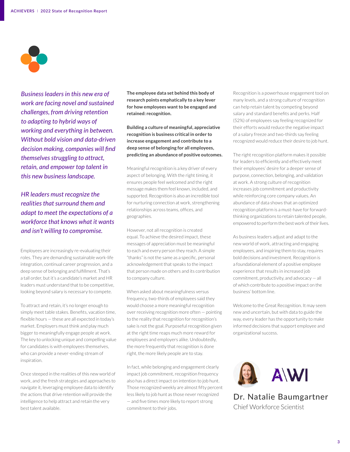

*Business leaders in this new era of work are facing novel and sustained challenges, from driving retention to adapting to hybrid ways of working and everything in between. Without bold vision and data-driven decision making, companies will find themselves struggling to attract, retain, and empower top talent in this new business landscape.* 

*HR leaders must recognize the realities that surround them and adapt to meet the expectations of a workforce that knows what it wants and isn't willing to compromise.*

Employees are increasingly re-evaluating their roles. They are demanding sustainable work-life integration, continual career progression, and a deep sense of belonging and fulfillment. That's a tall order, but it's a candidate's market and HR leaders must understand that to be competitive, looking beyond salary is necessary to compete.

To attract and retain, it's no longer enough to simply meet table stakes. Benefits, vacation time, flexible hours — these are all expected in today's market. Employers must think and play much bigger to meaningfully engage people at work. The key to unlocking unique and compelling value for candidates is with employees themselves, who can provide a never-ending stream of inspiration.

Once steeped in the realities of this new world of work, and the fresh strategies and approaches to navigate it, leveraging employee data to identify the actions that drive retention will provide the intelligence to help attract and retain the very best talent available.

**The employee data set behind this body of research points emphatically to a key lever for how employees want to be engaged and retained: recognition.**

**Building a culture of meaningful, appreciative recognition is business critical in order to increase engagement and contribute to a deep sense of belonging for all employees, predicting an abundance of positive outcomes.**

Meaningful recognition is a key driver of every aspect of belonging. With the right timing, it ensures people feel welcomed and the right message makes them feel known, included, and supported. Recognition is also an incredible tool for nurturing connection at work, strengthening relationships across teams, offices, and geographies.

However, not all recognition is created equal. To achieve the desired impact, these messages of appreciation must be meaningful to each and every person they reach. A simple "thanks" is not the same as a specific, personal acknowledgement that speaks to the impact that person made on others and its contribution to company culture.

When asked about meaningfulness versus frequency, two-thirds of employees said they would choose a more meaningful recognition over receiving recognition more often — pointing to the reality that recognition for recognition's sake is not the goal. Purposeful recognition given at the right time reaps much more reward for employees and employers alike. Undoubtedly, the more frequently that recognition is done right, the more likely people are to stay.

In fact, while belonging and engagement clearly impact job commitment, recognition frequency also has a direct impact on intention to job hunt. Those recognized weekly are almost fifty percent less likely to job hunt as those never recognized — and five times more likely to report strong commitment to their jobs.

Recognition is a powerhouse engagement tool on many levels, and a strong culture of recognition can help retain talent by competing beyond salary and standard benefits and perks. Half (52%) of employees say feeling recognized for their efforts would reduce the negative impact of a salary freeze and two-thirds say feeling recognized would reduce their desire to job hunt.

The right recognition platform makes it possible for leaders to efficiently and effectively meet their employees' desire for a deeper sense of purpose, connection, belonging, and validation at work. A strong culture of recognition increases job commitment and productivity while reinforcing core company values. An abundance of data shows that an optimized recognition platform is a must-have for forwardthinking organizations to retain talented people, empowered to perform the best work of their lives.

As business leaders adjust and adapt to the new world of work, attracting and engaging employees, and inspiring them to stay, requires bold decisions and investment. Recognition is a foundational element of a positive employee experience that results in increased job commitment, productivity, and advocacy — all of which contribute to a positive impact on the business' bottom line.

Welcome to the Great Recognition. It may seem new and uncertain, but with data to guide the way, every leader has the opportunity to make informed decisions that support employee and organizational success.



Dr. Natalie Baumgartner Chief Workforce Scientist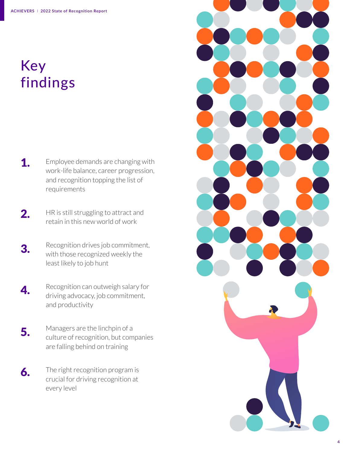## Key findings

Employee demands are changing with work-life balance, career progression, and recognition topping the list of requirements 1.

HR is still struggling to attract and retain in this new world of work 2.

Recognition drives job commitment, with those recognized weekly the least likely to job hunt 3.

Recognition can outweigh salary for driving advocacy, job commitment, and productivity 4.

- Managers are the linchpin of a culture of recognition, but companies are falling behind on training 5.
- The right recognition program is crucial for driving recognition at every level 6.

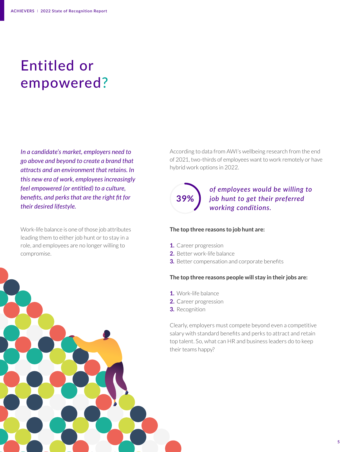## Entitled or empowered?

*In a candidate's market, employers need to go above and beyond to create a brand that attracts and an environment that retains. In this new era of work, employees increasingly feel empowered (or entitled) to a culture, benefits, and perks that are the right fit for their desired lifestyle.* 

Work-life balance is one of those job attributes leading them to either job hunt or to stay in a role, and employees are no longer willing to compromise.

According to data from AWI's wellbeing research from the end of 2021, two-thirds of employees want to work remotely or have hybrid work options in 2022.

# **39%**

### *of employees would be willing to job hunt to get their preferred working conditions.*

#### **The top three reasons to job hunt are:**

- **1.** Career progression
- **2.** Better work-life balance
- **3.** Better compensation and corporate benefits

#### **The top three reasons people will stay in their jobs are:**

- **1.** Work-life balance
- **2.** Career progression
- **3.** Recognition

Clearly, employers must compete beyond even a competitive salary with standard benefits and perks to attract and retain top talent. So, what can HR and business leaders do to keep their teams happy?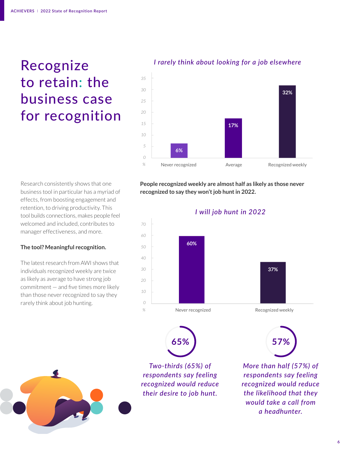## Recognize to retain: the business case for recognition



Research consistently shows that one business tool in particular has a myriad of effects, from boosting engagement and retention, to driving productivity. This tool builds connections, makes people feel welcomed and included, contributes to manager effectiveness, and more.

#### **The tool? Meaningful recognition.**

The latest research from AWI shows that individuals recognized weekly are twice as likely as average to have strong job commitment — and five times more likely than those never recognized to say they rarely think about job hunting.

**People recognized weekly are almost half as likely as those never recognized to say they won't job hunt in 2022.**



*Two-thirds (65%) of respondents say feeling recognized would reduce their desire to job hunt.* 

**65% 57%** 

*More than half (57%) of respondents say feeling recognized would reduce the likelihood that they would take a call from a headhunter.*

### I rarely think about looking for a job elsewhere *I rarely think about looking for a job elsewhere*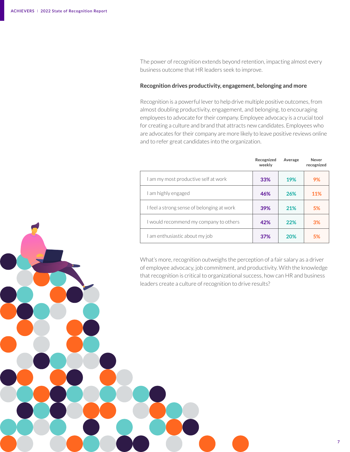The power of recognition extends beyond retention, impacting almost every business outcome that HR leaders seek to improve.

#### **Recognition drives productivity, engagement, belonging and more**

Recognition is a powerful lever to help drive multiple positive outcomes, from almost doubling productivity, engagement, and belonging, to encouraging employees to advocate for their company. Employee advocacy is a crucial tool for creating a culture and brand that attracts new candidates. Employees who are advocates for their company are more likely to leave positive reviews online and to refer great candidates into the organization.

|                                            | Recognized<br>weekly | Average    | Never<br>recognized |
|--------------------------------------------|----------------------|------------|---------------------|
| I am my most productive self at work       | 33%                  | 19%        | 9%                  |
| I am highly engaged                        | 46%                  | 26%        | 11%                 |
| I feel a strong sense of belonging at work | 39%                  | 21%        | 5%                  |
| I would recommend my company to others     | 42%                  | 22%        | 3%                  |
| I am enthusiastic about my job             | 37%                  | <b>20%</b> | 5%                  |

What's more, recognition outweighs the perception of a fair salary as a driver of employee advocacy, job commitment, and productivity. With the knowledge that recognition is critical to organizational success, how can HR and business leaders create a culture of recognition to drive results?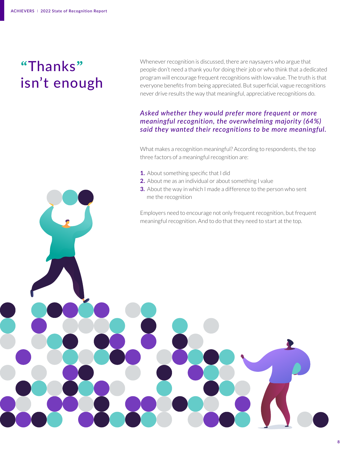## **"**Thanks**"** isn't enough

Whenever recognition is discussed, there are naysayers who argue that people don't need a thank you for doing their job or who think that a dedicated program will encourage frequent recognitions with low value. The truth is that everyone benefits from being appreciated. But superficial, vague recognitions never drive results the way that meaningful, appreciative recognitions do.

#### *Asked whether they would prefer more frequent or more meaningful recognition, the overwhelming majority (64%) said they wanted their recognitions to be more meaningful.*

What makes a recognition meaningful? According to respondents, the top three factors of a meaningful recognition are:

- **1.** About something specific that I did
- **2.** About me as an individual or about something I value
- **3.** About the way in which I made a difference to the person who sent me the recognition

Employers need to encourage not only frequent recognition, but frequent meaningful recognition. And to do that they need to start at the top.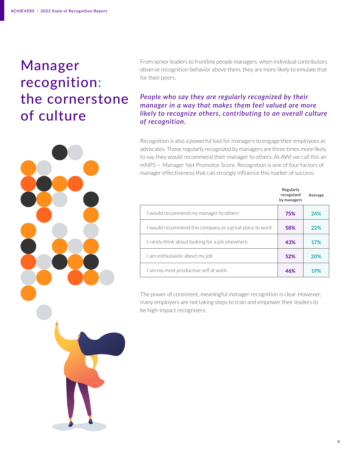## Manager recognition: the cornerstone of culture



#### *People who say they are regularly recognized by their manager in a way that makes them feel valued are more likely to recognize others, contributing to an overall culture of recognition.*

Recognition is also a powerful tool for managers to engage their employees as advocates. Those regularly recognized by managers are three times more likely to say they would recommend their manager to others. At AWI we call this an mNPS — Manager Net Promotor Score. Recognition is one of four factors of manager effectiveness that can strongly influence this marker of success.

|                                                         | Regularly<br>recognized<br>by managers | Average |
|---------------------------------------------------------|----------------------------------------|---------|
| I would recommend my manager to others                  | 75%                                    | 24%     |
| I would recommend this company as a great place to work | 58%                                    | 22%     |
| I rarely think about looking for a job elsewhere        | 43%                                    | 17%     |
| I am enthusiastic about my job                          | 52%                                    | 20%     |
| I am my most productive self at work                    | 46%                                    | 19%     |

The power of consistent, meaningful manager recognition is clear. However, many employers are not taking steps to train and empower their leaders to be high-impact recognizers.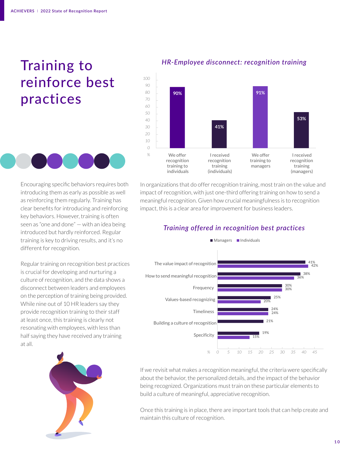## Training to reinforce best practices



Encouraging specific behaviors requires both introducing them as early as possible as well as reinforcing them regularly. Training has clear benefits for introducing and reinforcing key behaviors. However, training is often seen as "one and done" — with an idea being introduced but hardly reinforced. Regular training is key to driving results, and it's no different for recognition.

Regular training on recognition best practices is crucial for developing and nurturing a culture of recognition, and the data shows a disconnect between leaders and employees on the perception of training being provided. While nine out of 10 HR leaders say they provide recognition training to their staff at least once, this training is clearly not resonating with employees, with less than half saying they have received any training at all.







In organizations that do offer recognition training, most train on the value and impact of recognition, with just one-third offering training on how to send a meaningful recognition. Given how crucial meaningfulness is to recognition impact, this is a clear area for improvement for business leaders.

#### Training offered in recognition best practices *Training offered in recognition best practices*



If we revisit what makes a recognition meaningful, the criteria were specifically about the behavior, the personalized details, and the impact of the behavior being recognized. Organizations must train on these particular elements to build a culture of meaningful, appreciative recognition.

Once this training is in place, there are important tools that can help create and maintain this culture of recognition.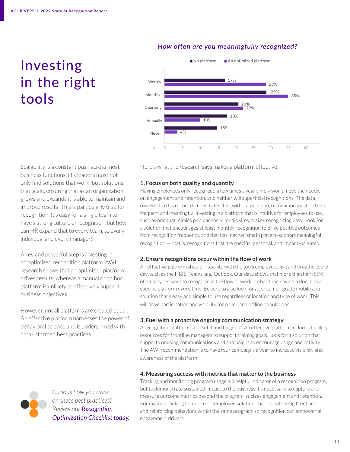## Investing in the right tools

## How often are you meaningfully recognized? *How often are you meaningfully recognized?*



Here's what the research says makes a platform effective:

Scalability is a constant push across most business functions. HR leaders must not only find solutions that work, but solutions that scale, ensuring that as an organization grows and expands it is able to maintain and improve results. This is particularly true for recognition. It's easy for a single team to have a strong culture of recognition, but how can HR expand that to every team, to every individual and every manager?

A key and powerful step is investing in an optimized recognition platform. AWI research shows that an optimized platform drives results, whereas a manual or ad hoc platform is unlikely to effectively support business objectives.

However, not all platforms are created equal. An effective platform harnesses the power of behavioral science and is underpinned with data-informed best practices.

#### **1. Focus on both quality and quantity**

Having employees only recognized a few times a year simply won't move the needle on engagement and retention, and neither will superficial recognitions. The data reviewed in this report demonstrates that, without question, recognition must be both frequent and meaningful. Investing in a platform that is intuitive for employees to use, such as one that mimics popular social media sites, makes recognizing easy. Look for a solution that encourages at least monthly recognition to drive positive outcomes from recognition frequency, and that has mechanisms in place to support meaningful recognition — that is, recognitions that are specific, personal, and impact-oriented.

#### **2. Ensure recognitions occur within the flow of work**

An effective platform should integrate with the tools employees live and breathe every day, such as the HRIS, Teams, and Outlook. Our data shows that more than half (55%) of employees want to recognize in the flow of work, rather than having to log in to a specific platform every time. Be sure to also look for a consumer-grade mobile app solution that's easy and simple to use regardless of location and type of work. This will drive participation and visibility for online and offline populations.

#### **3. Fuel with a proactive ongoing communication strategy**

A recognition platform isn't "set it and forget it". An effective platform includes turnkey resources for frontline managers to support training goals. Look for a solution that supports ongoing communications and campaigns to encourage usage and activity. The AWI recommendation is to have four campaigns a year to increase visibility and awareness of the platform.

#### **4. Measuring success with metrics that matter to the business**

Tracking and monitoring program usage is a helpful indicator of a recognition program, but to demonstrate sustained impact to the business it's necessary to capture and measure outcome metrics beyond the program, such as engagement and retention. For example, linking to a voice-of-employee solution enables gathering feedback and reinforcing behaviors within the same program, so recognition can empower all engagement drivers.



*Curious how you track on these best practices? Review our [Recognition](https://www.achievers.com/resources/infographics-slideshares/workforce-institute-recognition-optimization-checklist/) [Optimization Checklist today](https://www.achievers.com/resources/infographics-slideshares/workforce-institute-recognition-optimization-checklist/).*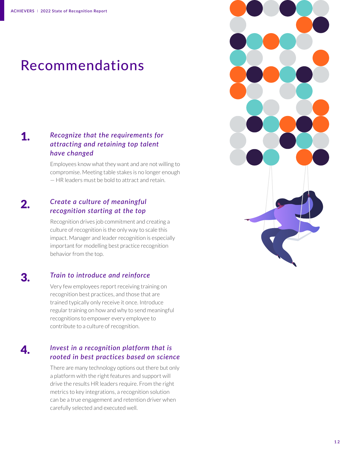## Recommendations

#### 1. *Recognize that the requirements for attracting and retaining top talent have changed*

Employees know what they want and are not willing to compromise. Meeting table stakes is no longer enough — HR leaders must be bold to attract and retain.

#### 2. *Create a culture of meaningful recognition starting at the top*

Recognition drives job commitment and creating a culture of recognition is the only way to scale this impact. Manager and leader recognition is especially important for modelling best practice recognition behavior from the top.

#### 3. *Train to introduce and reinforce*

4.

Very few employees report receiving training on recognition best practices, and those that are trained typically only receive it once. Introduce regular training on how and why to send meaningful recognitions to empower every employee to contribute to a culture of recognition.

### *Invest in a recognition platform that is rooted in best practices based on science*

There are many technology options out there but only a platform with the right features and support will drive the results HR leaders require. From the right metrics to key integrations, a recognition solution can be a true engagement and retention driver when carefully selected and executed well.

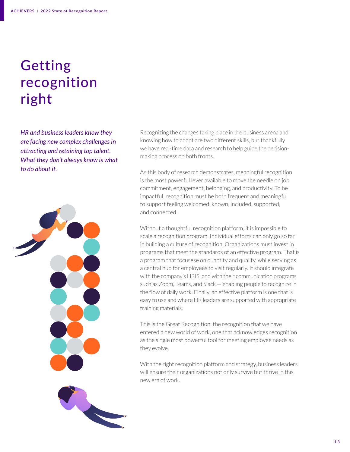## Getting recognition right

*HR and business leaders know they are facing new complex challenges in attracting and retaining top talent. What they don't always know is what to do about it.*





Recognizing the changes taking place in the business arena and knowing how to adapt are two different skills, but thankfully we have real-time data and research to help guide the decisionmaking process on both fronts.

As this body of research demonstrates, meaningful recognition is the most powerful lever available to move the needle on job commitment, engagement, belonging, and productivity. To be impactful, recognition must be both frequent and meaningful to support feeling welcomed, known, included, supported, and connected.

Without a thoughtful recognition platform, it is impossible to scale a recognition program. Individual efforts can only go so far in building a culture of recognition. Organizations must invest in programs that meet the standards of an effective program. That is a program that focusese on quantity and quality, while serving as a central hub for employees to visit regularly. It should integrate with the company's HRIS, and with their communication programs such as Zoom, Teams, and Slack — enabling people to recognize in the flow of daily work. Finally, an effective platform is one that is easy to use and where HR leaders are supported with appropriate training materials.

This is the Great Recognition: the recognition that we have entered a new world of work, one that acknowledges recognition as the single most powerful tool for meeting employee needs as they evolve.

With the right recognition platform and strategy, business leaders will ensure their organizations not only survive but thrive in this new era of work.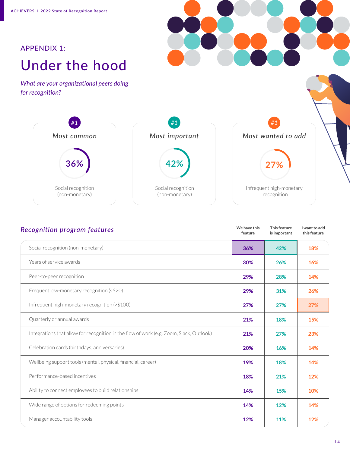## Under the hood APPENDIX 1:

*What are your organizational peers doing for recognition?*



| <b>Recognition program features</b>                                                     | We have this<br>feature | This feature<br>is important | I want to add<br>this feature |
|-----------------------------------------------------------------------------------------|-------------------------|------------------------------|-------------------------------|
| Social recognition (non-monetary)                                                       | 36%                     | 42%                          | 18%                           |
| Years of service awards                                                                 | 30%                     | 26%                          | 16%                           |
| Peer-to-peer recognition                                                                | 29%                     | 28%                          | 14%                           |
| Frequent low-monetary recognition (<\$20)                                               | 29%                     | 31%                          | 26%                           |
| Infrequent high-monetary recognition (>\$100)                                           | 27%                     | 27%                          | 27%                           |
| Quarterly or annual awards                                                              | 21%                     | 18%                          | 15%                           |
| Integrations that allow for recognition in the flow of work (e.g. Zoom, Slack, Outlook) | 21%                     | 27%                          | 23%                           |
| Celebration cards (birthdays, anniversaries)                                            | 20%                     | 16%                          | 14%                           |
| Wellbeing support tools (mental, physical, financial, career)                           | 19%                     | 18%                          | 14%                           |
| Performance-based incentives                                                            | 18%                     | 21%                          | 12%                           |
| Ability to connect employees to build relationships                                     | 14%                     | 15%                          | 10%                           |
| Wide range of options for redeeming points                                              | 14%                     | 12%                          | 14%                           |
| Manager accountability tools                                                            | 12%                     | 11%                          | 12%                           |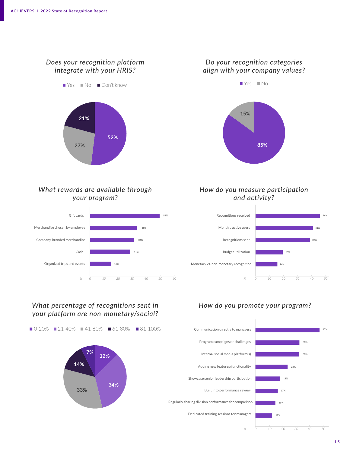### *Does your recognition platform* Does your recognition platform *integrate with your HRIS?* integrate with your HRIS?



### *Do your recognition categories* align with your company values? *align with your company values?*



#### What rewards are available through *your program?*



#### *How do you measure participation* How fo you measure participation and activity? *and activity?*



## what percentage of recognitions sent in *your platform are non-monetary/social?* platform are non-monetary/social?



### How do you promote your program? *How do you promote your program?*

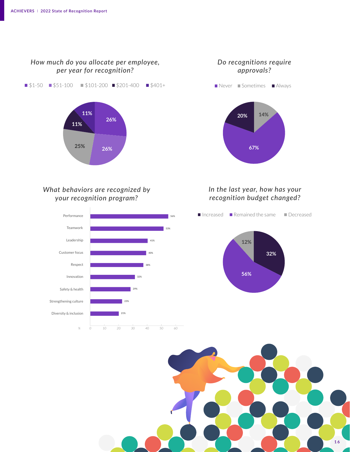

### What behaviors are recognized by your recognition program? *What behaviors are recognized by your recognition program?*





### *In the last year, how has your* In the last year, *recognition budget changed?* how has your recognition budget changed?

**67%**



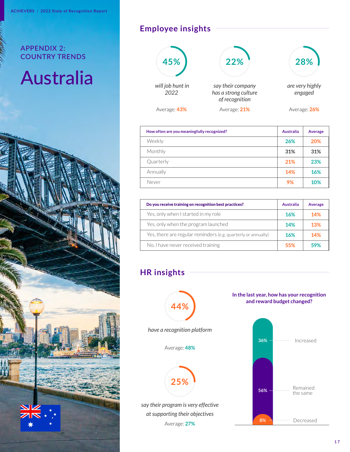# Australia



## **Employee insights**



| How often are you meaningfully recognized? | Australia | Average |
|--------------------------------------------|-----------|---------|
| Weekly                                     | 26%       | 20%     |
| Monthly                                    | 31%       | 31%     |
| Quarterly                                  | 21%       | 23%     |
| Annually                                   | 14%       | 16%     |
| Never                                      | 9%        | 10%     |

| Do you receive training on recognition best practices?        | Australia | Average |
|---------------------------------------------------------------|-----------|---------|
| Yes, only when I started in my role                           | 16%       | 14%     |
| Yes, only when the program launched                           | 14%       | 13%     |
| Yes, there are regular reminders (e.g. quarterly or annually) | 16%       | 14%     |
| No, I have never received training                            | 55%       | 59%     |

## **HR insights**



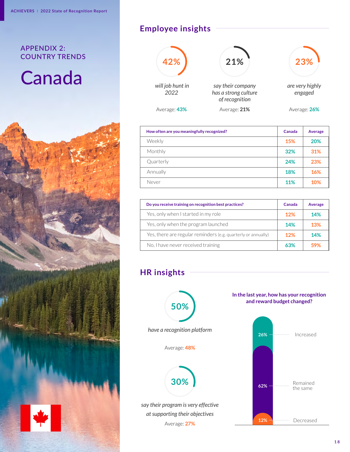# Canada



## **Employee insights**



| How often are you meaningfully recognized? | Canada     | Average |
|--------------------------------------------|------------|---------|
| Weekly                                     | 15%        | 20%     |
| Monthly                                    | 32%        | 31%     |
| Quarterly                                  | 24%        | 23%     |
| Annually                                   | 18%        | 16%     |
| Never                                      | <b>11%</b> | 10%     |

| Do you receive training on recognition best practices?        | Canada | Average |
|---------------------------------------------------------------|--------|---------|
| Yes, only when I started in my role                           | 12%    | 14%     |
| Yes, only when the program launched                           | 14%    | 13%     |
| Yes, there are regular reminders (e.g. quarterly or annually) | 12%    | 14%     |
| No, I have never received training                            | 63%    | 59%     |

## **HR insights**



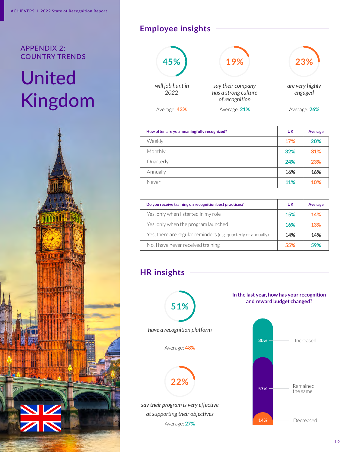# United Kingdom



## **Employee insights**



| How often are you meaningfully recognized? | <b>UK</b>  | Average |
|--------------------------------------------|------------|---------|
| Weekly                                     | 17%        | 20%     |
| Monthly                                    | 32%        | 31%     |
| Quarterly                                  | 24%        | 23%     |
| Annually                                   | 16%        | 16%     |
| Never                                      | <b>11%</b> | 10%     |

| Do you receive training on recognition best practices?        | UK         | Average |
|---------------------------------------------------------------|------------|---------|
| Yes, only when I started in my role                           | 15%        | 14%     |
| Yes, only when the program launched                           | <b>16%</b> | 13%     |
| Yes, there are regular reminders (e.g. quarterly or annually) | 14%        | 14%     |
| No, I have never received training                            | 55%        | 59%     |

## **HR insights**



*say their program is very effective at supporting their objectives* Average: **27%**

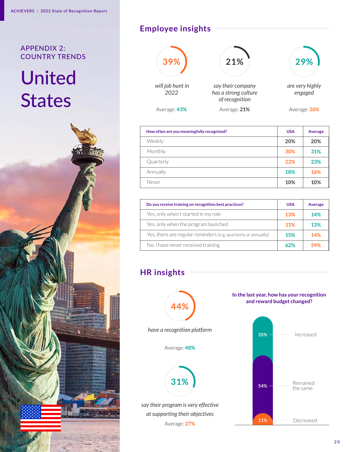# United **States**



## **Employee insights**



| How often are you meaningfully recognized? | <b>USA</b> | Average |
|--------------------------------------------|------------|---------|
| Weekly                                     | 20%        | 20%     |
| Monthly                                    | 30%        | 31%     |
| Quarterly                                  | 22%        | 23%     |
| Annually                                   | 18%        | 16%     |
| Never                                      | 10%        | 10%     |

| Do you receive training on recognition best practices?        | <b>USA</b> | Average    |
|---------------------------------------------------------------|------------|------------|
| Yes, only when I started in my role                           | 13%        | 14%        |
| Yes, only when the program launched                           | 11%        | <b>13%</b> |
| Yes, there are regular reminders (e.g. quarterly or annually) | <b>15%</b> | 14%        |
| No, I have never received training                            | 62%        | 59%        |

## **HR insights**